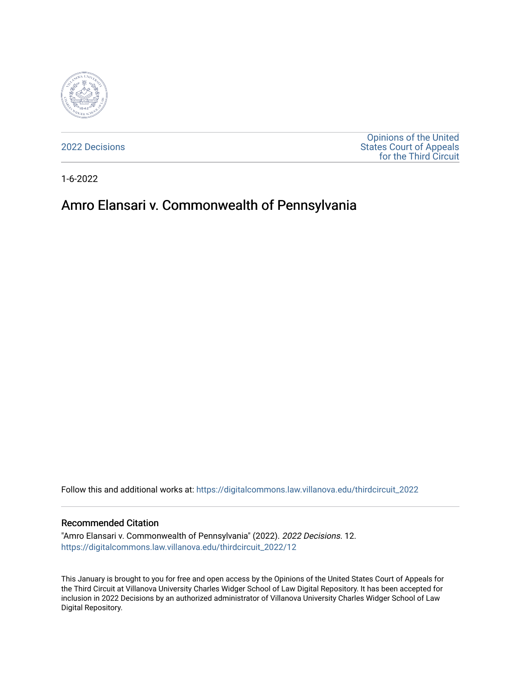

[2022 Decisions](https://digitalcommons.law.villanova.edu/thirdcircuit_2022)

[Opinions of the United](https://digitalcommons.law.villanova.edu/thirdcircuit)  [States Court of Appeals](https://digitalcommons.law.villanova.edu/thirdcircuit)  [for the Third Circuit](https://digitalcommons.law.villanova.edu/thirdcircuit) 

1-6-2022

# Amro Elansari v. Commonwealth of Pennsylvania

Follow this and additional works at: [https://digitalcommons.law.villanova.edu/thirdcircuit\\_2022](https://digitalcommons.law.villanova.edu/thirdcircuit_2022?utm_source=digitalcommons.law.villanova.edu%2Fthirdcircuit_2022%2F12&utm_medium=PDF&utm_campaign=PDFCoverPages) 

#### Recommended Citation

"Amro Elansari v. Commonwealth of Pennsylvania" (2022). 2022 Decisions. 12. [https://digitalcommons.law.villanova.edu/thirdcircuit\\_2022/12](https://digitalcommons.law.villanova.edu/thirdcircuit_2022/12?utm_source=digitalcommons.law.villanova.edu%2Fthirdcircuit_2022%2F12&utm_medium=PDF&utm_campaign=PDFCoverPages)

This January is brought to you for free and open access by the Opinions of the United States Court of Appeals for the Third Circuit at Villanova University Charles Widger School of Law Digital Repository. It has been accepted for inclusion in 2022 Decisions by an authorized administrator of Villanova University Charles Widger School of Law Digital Repository.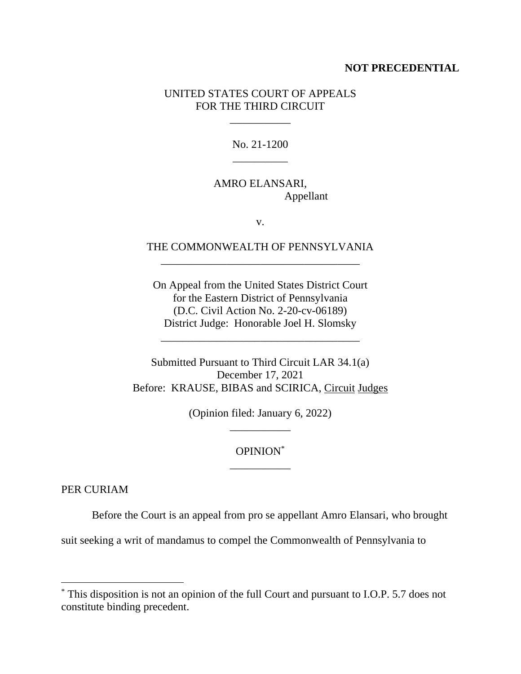### **NOT PRECEDENTIAL**

## UNITED STATES COURT OF APPEALS FOR THE THIRD CIRCUIT

\_\_\_\_\_\_\_\_\_\_\_

No. 21-1200 \_\_\_\_\_\_\_\_\_\_

# AMRO ELANSARI, Appellant

v.

## THE COMMONWEALTH OF PENNSYLVANIA \_\_\_\_\_\_\_\_\_\_\_\_\_\_\_\_\_\_\_\_\_\_\_\_\_\_\_\_\_\_\_\_\_\_\_\_

On Appeal from the United States District Court for the Eastern District of Pennsylvania (D.C. Civil Action No. 2-20-cv-06189) District Judge: Honorable Joel H. Slomsky

\_\_\_\_\_\_\_\_\_\_\_\_\_\_\_\_\_\_\_\_\_\_\_\_\_\_\_\_\_\_\_\_\_\_\_\_

Submitted Pursuant to Third Circuit LAR 34.1(a) December 17, 2021 Before: KRAUSE, BIBAS and SCIRICA, Circuit Judges

> (Opinion filed: January 6, 2022) \_\_\_\_\_\_\_\_\_\_\_

## OPINION\* \_\_\_\_\_\_\_\_\_\_\_

PER CURIAM

Before the Court is an appeal from pro se appellant Amro Elansari, who brought

suit seeking a writ of mandamus to compel the Commonwealth of Pennsylvania to

<sup>\*</sup> This disposition is not an opinion of the full Court and pursuant to I.O.P. 5.7 does not constitute binding precedent.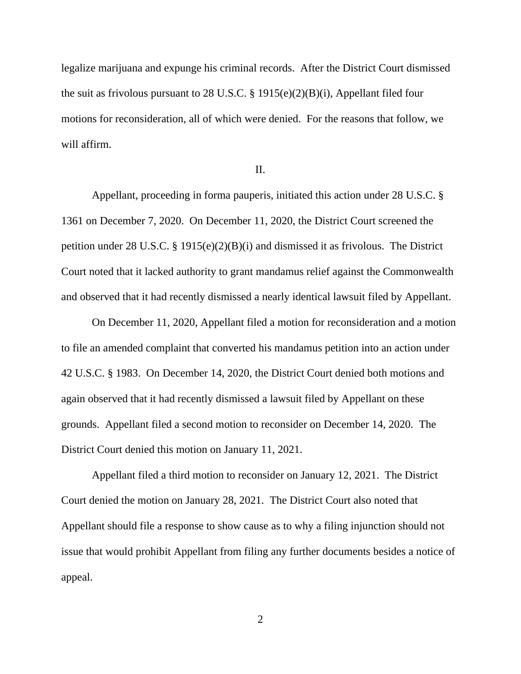legalize marijuana and expunge his criminal records. After the District Court dismissed the suit as frivolous pursuant to 28 U.S.C. § 1915(e)(2)(B)(i), Appellant filed four motions for reconsideration, all of which were denied. For the reasons that follow, we will affirm.

#### II.

Appellant, proceeding in forma pauperis, initiated this action under 28 U.S.C. § 1361 on December 7, 2020. On December 11, 2020, the District Court screened the petition under 28 U.S.C. § 1915(e)(2)(B)(i) and dismissed it as frivolous. The District Court noted that it lacked authority to grant mandamus relief against the Commonwealth and observed that it had recently dismissed a nearly identical lawsuit filed by Appellant.

On December 11, 2020, Appellant filed a motion for reconsideration and a motion to file an amended complaint that converted his mandamus petition into an action under 42 U.S.C. § 1983. On December 14, 2020, the District Court denied both motions and again observed that it had recently dismissed a lawsuit filed by Appellant on these grounds. Appellant filed a second motion to reconsider on December 14, 2020. The District Court denied this motion on January 11, 2021.

Appellant filed a third motion to reconsider on January 12, 2021. The District Court denied the motion on January 28, 2021. The District Court also noted that Appellant should file a response to show cause as to why a filing injunction should not issue that would prohibit Appellant from filing any further documents besides a notice of appeal.

2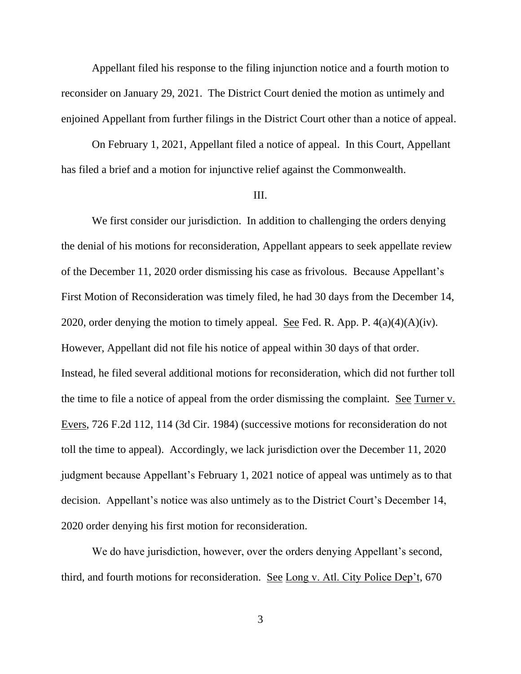Appellant filed his response to the filing injunction notice and a fourth motion to reconsider on January 29, 2021. The District Court denied the motion as untimely and enjoined Appellant from further filings in the District Court other than a notice of appeal.

On February 1, 2021, Appellant filed a notice of appeal. In this Court, Appellant has filed a brief and a motion for injunctive relief against the Commonwealth.

#### III.

We first consider our jurisdiction. In addition to challenging the orders denying the denial of his motions for reconsideration, Appellant appears to seek appellate review of the December 11, 2020 order dismissing his case as frivolous. Because Appellant's First Motion of Reconsideration was timely filed, he had 30 days from the December 14, 2020, order denying the motion to timely appeal. See Fed. R. App. P.  $4(a)(4)(A)(iv)$ . However, Appellant did not file his notice of appeal within 30 days of that order. Instead, he filed several additional motions for reconsideration, which did not further toll the time to file a notice of appeal from the order dismissing the complaint. See Turner v. Evers, 726 F.2d 112, 114 (3d Cir. 1984) (successive motions for reconsideration do not toll the time to appeal). Accordingly, we lack jurisdiction over the December 11, 2020 judgment because Appellant's February 1, 2021 notice of appeal was untimely as to that decision. Appellant's notice was also untimely as to the District Court's December 14, 2020 order denying his first motion for reconsideration.

We do have jurisdiction, however, over the orders denying Appellant's second, third, and fourth motions for reconsideration. See Long v. Atl. City Police Dep't, 670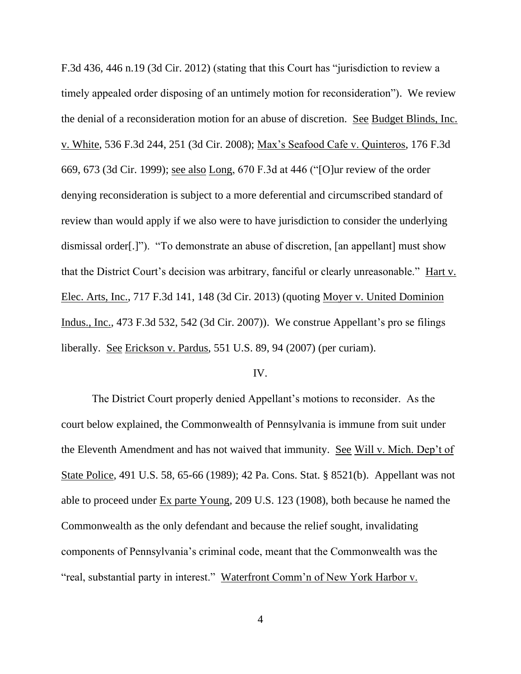F.3d 436, 446 n.19 (3d Cir. 2012) (stating that this Court has "jurisdiction to review a timely appealed order disposing of an untimely motion for reconsideration"). We review the denial of a reconsideration motion for an abuse of discretion. See Budget Blinds, Inc. v. White, 536 F.3d 244, 251 (3d Cir. 2008); Max's Seafood Cafe v. Quinteros, 176 F.3d 669, 673 (3d Cir. 1999); see also Long, 670 F.3d at 446 ("[O]ur review of the order denying reconsideration is subject to a more deferential and circumscribed standard of review than would apply if we also were to have jurisdiction to consider the underlying dismissal order[.]"). "To demonstrate an abuse of discretion, [an appellant] must show that the District Court's decision was arbitrary, fanciful or clearly unreasonable." Hart v. Elec. Arts, Inc., 717 F.3d 141, 148 (3d Cir. 2013) (quoting Moyer v. United Dominion Indus., Inc., 473 F.3d 532, 542 (3d Cir. 2007)). We construe Appellant's pro se filings liberally. See Erickson v. Pardus, 551 U.S. 89, 94 (2007) (per curiam).

#### IV.

The District Court properly denied Appellant's motions to reconsider. As the court below explained, the Commonwealth of Pennsylvania is immune from suit under the Eleventh Amendment and has not waived that immunity. See Will v. Mich. Dep't of State Police, 491 U.S. 58, 65-66 (1989); 42 Pa. Cons. Stat. § 8521(b). Appellant was not able to proceed under Ex parte Young, 209 U.S. 123 (1908), both because he named the Commonwealth as the only defendant and because the relief sought, invalidating components of Pennsylvania's criminal code, meant that the Commonwealth was the "real, substantial party in interest." Waterfront Comm'n of New York Harbor v.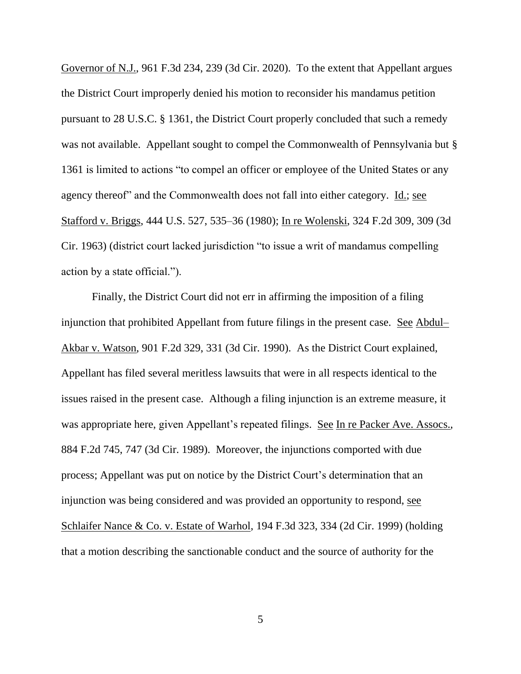Governor of N.J., 961 F.3d 234, 239 (3d Cir. 2020). To the extent that Appellant argues the District Court improperly denied his motion to reconsider his mandamus petition pursuant to 28 U.S.C. § 1361, the District Court properly concluded that such a remedy was not available. Appellant sought to compel the Commonwealth of Pennsylvania but § 1361 is limited to actions "to compel an officer or employee of the United States or any agency thereof" and the Commonwealth does not fall into either category. Id.; see Stafford v. Briggs, 444 U.S. 527, 535–36 (1980); In re Wolenski, 324 F.2d 309, 309 (3d Cir. 1963) (district court lacked jurisdiction "to issue a writ of mandamus compelling action by a state official.").

Finally, the District Court did not err in affirming the imposition of a filing injunction that prohibited Appellant from future filings in the present case. See Abdul– Akbar v. Watson, 901 F.2d 329, 331 (3d Cir. 1990). As the District Court explained, Appellant has filed several meritless lawsuits that were in all respects identical to the issues raised in the present case. Although a filing injunction is an extreme measure, it was appropriate here, given Appellant's repeated filings. See In re Packer Ave. Assocs., 884 F.2d 745, 747 (3d Cir. 1989). Moreover, the injunctions comported with due process; Appellant was put on notice by the District Court's determination that an injunction was being considered and was provided an opportunity to respond, see Schlaifer Nance & Co. v. Estate of Warhol, 194 F.3d 323, 334 (2d Cir. 1999) (holding that a motion describing the sanctionable conduct and the source of authority for the